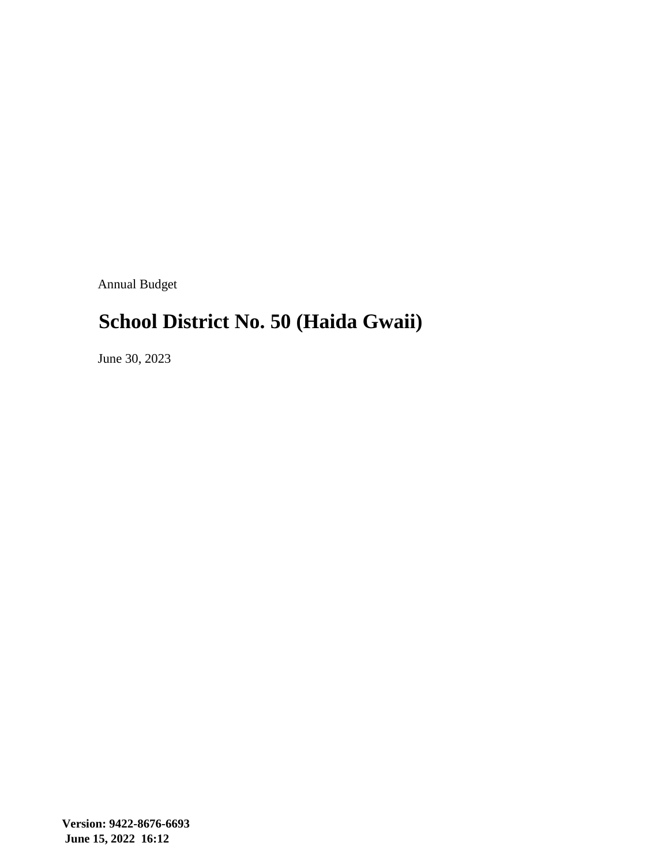Annual Budget

# **School District No. 50 (Haida Gwaii)**

June 30, 2023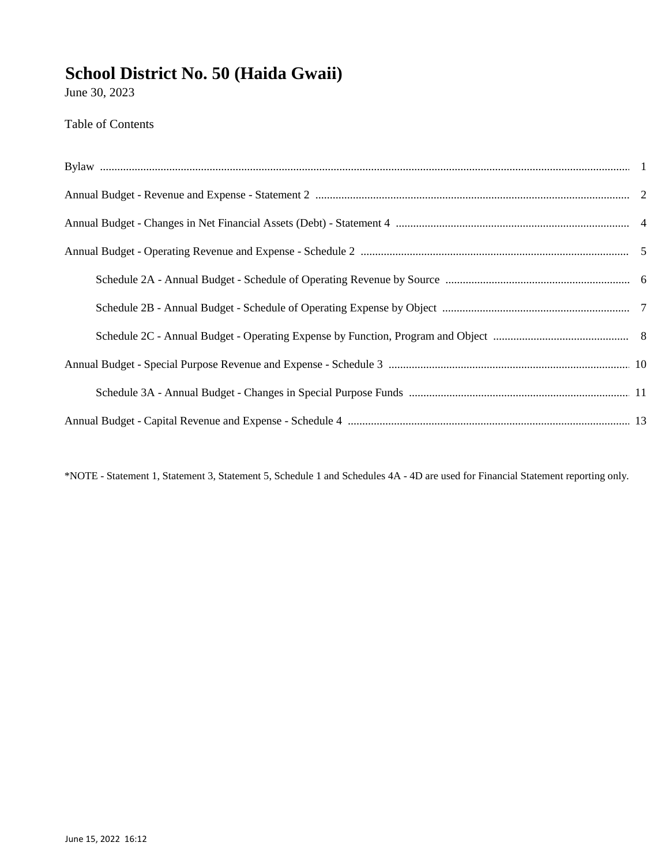June 30, 2023

#### Table of Contents

\*NOTE - Statement 1, Statement 3, Statement 5, Schedule 1 and Schedules 4A - 4D are used for Financial Statement reporting only.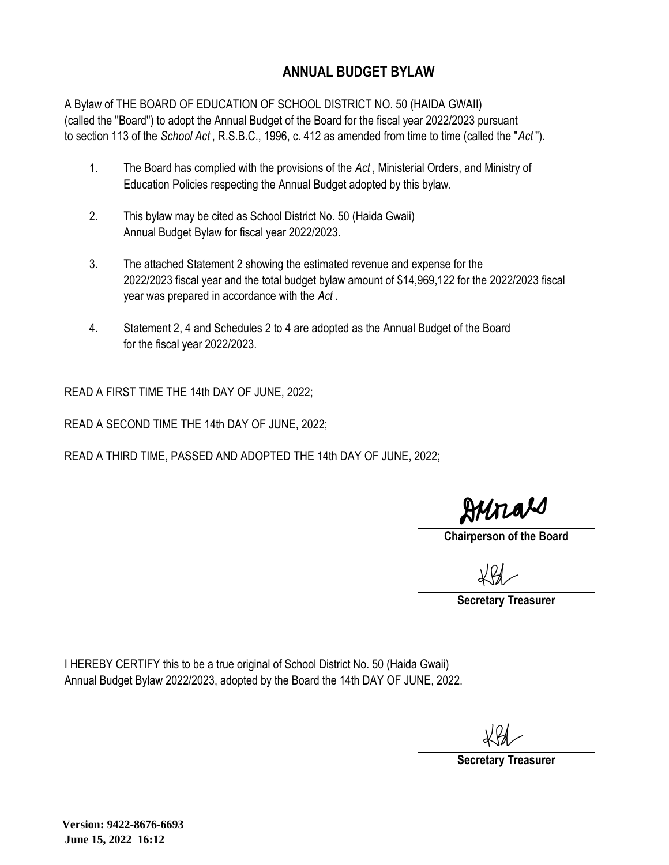#### **ANNUAL BUDGET BYLAW**

A Bylaw of THE BOARD OF EDUCATION OF SCHOOL DISTRICT NO. 50 (HAIDA GWAII) (called the ''Board'') to adopt the Annual Budget of the Board for the fiscal year 2022/2023 pursuant to section 113 of the *School Act* , R.S.B.C., 1996, c. 412 as amended from time to time (called the "*Act* ").

- 1. The Board has complied with the provisions of the *Act* , Ministerial Orders, and Ministry of Education Policies respecting the Annual Budget adopted by this bylaw.
- 2. This bylaw may be cited as School District No. 50 (Haida Gwaii) Annual Budget Bylaw for fiscal year 2022/2023.
- 3. The attached Statement 2 showing the estimated revenue and expense for the 2022/2023 fiscal year and the total budget bylaw amount of \$14,969,122 for the 2022/2023 fiscal year was prepared in accordance with the *Act* .
- 4. Statement 2, 4 and Schedules 2 to 4 are adopted as the Annual Budget of the Board for the fiscal year 2022/2023.

READ A FIRST TIME THE 14th DAY OF JUNE, 2022;

READ A SECOND TIME THE 14th DAY OF JUNE, 2022;

READ A THIRD TIME, PASSED AND ADOPTED THE 14th DAY OF JUNE, 2022;

Hunal

**Chairperson of the Board**

**Secretary Treasurer**

I HEREBY CERTIFY this to be a true original of School District No. 50 (Haida Gwaii) Annual Budget Bylaw 2022/2023, adopted by the Board the 14th DAY OF JUNE, 2022.

**Secretary Treasurer**

**Version: 9422-8676-6693 June 15, 2022 16:12**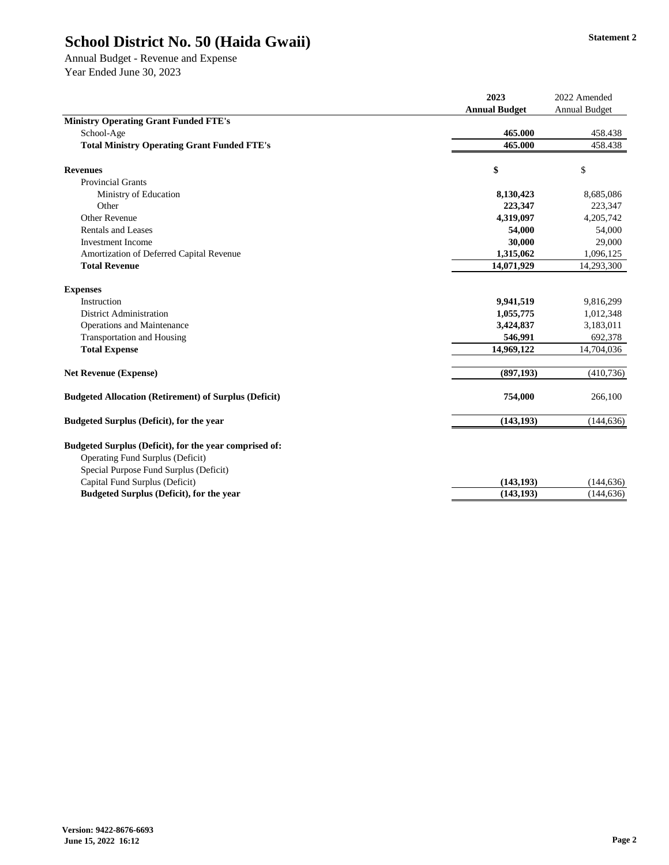Annual Budget - Revenue and Expense Year Ended June 30, 2023

|                                                                                                                                      | 2023                 | 2022 Amended         |
|--------------------------------------------------------------------------------------------------------------------------------------|----------------------|----------------------|
|                                                                                                                                      | <b>Annual Budget</b> | <b>Annual Budget</b> |
| <b>Ministry Operating Grant Funded FTE's</b>                                                                                         |                      |                      |
| School-Age                                                                                                                           | 465.000              | 458.438              |
| <b>Total Ministry Operating Grant Funded FTE's</b>                                                                                   | 465.000              | 458.438              |
| <b>Revenues</b>                                                                                                                      | \$                   | \$                   |
| <b>Provincial Grants</b>                                                                                                             |                      |                      |
| Ministry of Education                                                                                                                | 8,130,423            | 8,685,086            |
| Other                                                                                                                                | 223,347              | 223,347              |
| Other Revenue                                                                                                                        | 4,319,097            | 4,205,742            |
| <b>Rentals and Leases</b>                                                                                                            | 54,000               | 54,000               |
| <b>Investment</b> Income                                                                                                             | 30,000               | 29,000               |
| Amortization of Deferred Capital Revenue                                                                                             | 1,315,062            | 1,096,125            |
| <b>Total Revenue</b>                                                                                                                 | 14,071,929           | 14,293,300           |
| <b>Expenses</b>                                                                                                                      |                      |                      |
| Instruction                                                                                                                          | 9,941,519            | 9,816,299            |
| <b>District Administration</b>                                                                                                       | 1,055,775            | 1,012,348            |
| Operations and Maintenance                                                                                                           | 3,424,837            | 3,183,011            |
| <b>Transportation and Housing</b>                                                                                                    | 546,991              | 692,378              |
| <b>Total Expense</b>                                                                                                                 | 14,969,122           | 14,704,036           |
| <b>Net Revenue (Expense)</b>                                                                                                         | (897, 193)           | (410, 736)           |
| <b>Budgeted Allocation (Retirement) of Surplus (Deficit)</b>                                                                         | 754,000              | 266,100              |
| <b>Budgeted Surplus (Deficit), for the year</b>                                                                                      | (143, 193)           | (144, 636)           |
| Budgeted Surplus (Deficit), for the year comprised of:<br>Operating Fund Surplus (Deficit)<br>Special Purpose Fund Surplus (Deficit) |                      |                      |
| Capital Fund Surplus (Deficit)                                                                                                       | (143, 193)           | (144, 636)           |
| <b>Budgeted Surplus (Deficit), for the year</b>                                                                                      | (143, 193)           | (144, 636)           |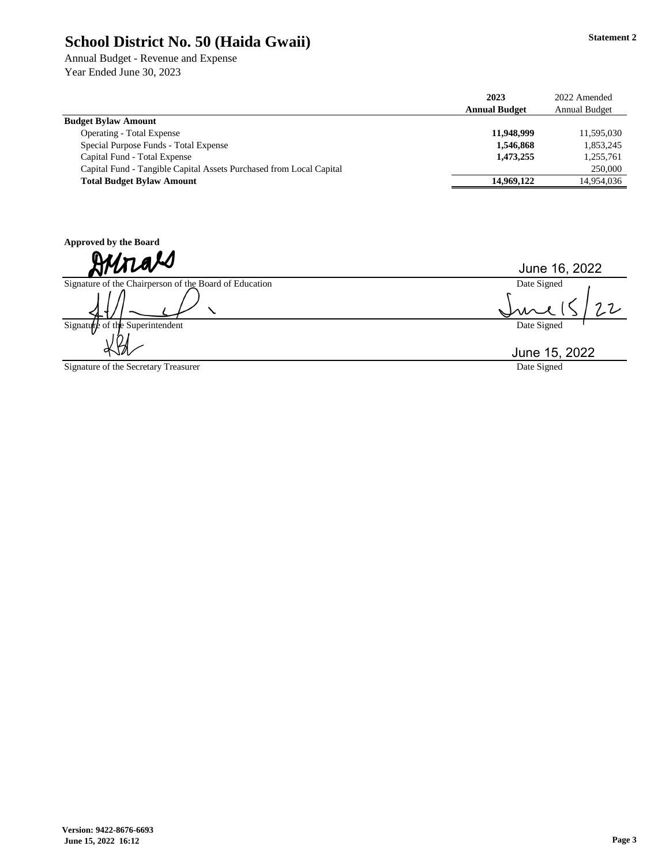Annual Budget - Revenue and Expense Year Ended June 30, 2023

|                                                                     | 2023                 | 2022 Amended  |
|---------------------------------------------------------------------|----------------------|---------------|
|                                                                     | <b>Annual Budget</b> | Annual Budget |
| <b>Budget Bylaw Amount</b>                                          |                      |               |
| Operating - Total Expense                                           | 11.948.999           | 11.595.030    |
| Special Purpose Funds - Total Expense                               | 1,546,868            | 1,853,245     |
| Capital Fund - Total Expense                                        | 1,473,255            | 1,255,761     |
| Capital Fund - Tangible Capital Assets Purchased from Local Capital |                      | 250,000       |
| <b>Total Budget Bylaw Amount</b>                                    | 14,969,122           | 14.954.036    |

**Approved by the Board**

Signature of the Chairperson of the Board of Education

╲

Signature of the Superintendent

Signature of the Secretary Treasurer

June 16, 2022

Date Signed  $22$ J

Date Signed

Date Signed June 15, 2022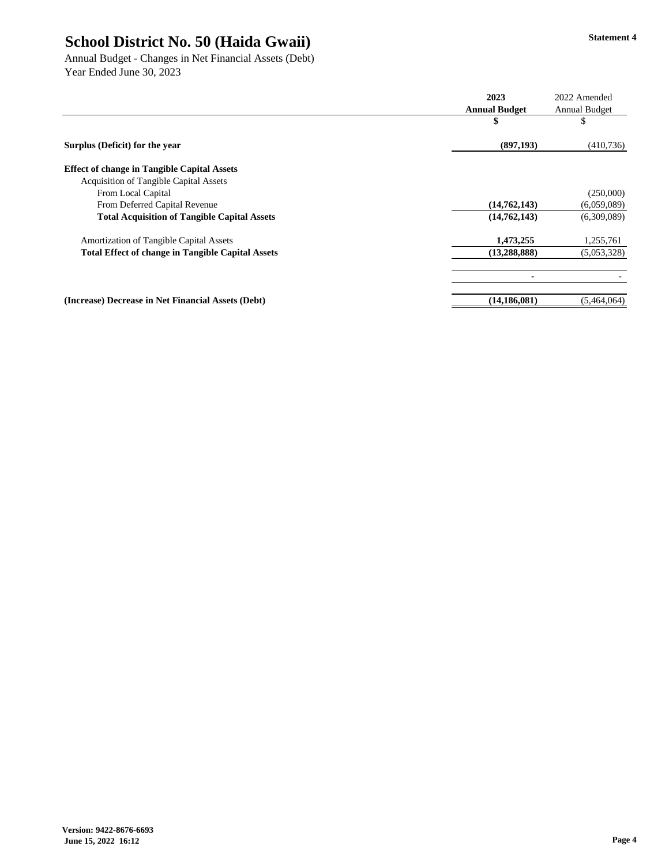Annual Budget - Changes in Net Financial Assets (Debt) Year Ended June 30, 2023

|                                                          | 2023                 | 2022 Amended         |
|----------------------------------------------------------|----------------------|----------------------|
|                                                          | <b>Annual Budget</b> | <b>Annual Budget</b> |
|                                                          | \$                   | \$                   |
| Surplus (Deficit) for the year                           | (897, 193)           | (410, 736)           |
| <b>Effect of change in Tangible Capital Assets</b>       |                      |                      |
| Acquisition of Tangible Capital Assets                   |                      |                      |
| From Local Capital                                       |                      | (250,000)            |
| From Deferred Capital Revenue                            | (14, 762, 143)       | (6,059,089)          |
| <b>Total Acquisition of Tangible Capital Assets</b>      | (14, 762, 143)       | (6,309,089)          |
| Amortization of Tangible Capital Assets                  | 1,473,255            | 1,255,761            |
| <b>Total Effect of change in Tangible Capital Assets</b> | (13, 288, 888)       | (5,053,328)          |
|                                                          |                      |                      |
| (Increase) Decrease in Net Financial Assets (Debt)       | (14, 186, 081)       | (5,464,064)          |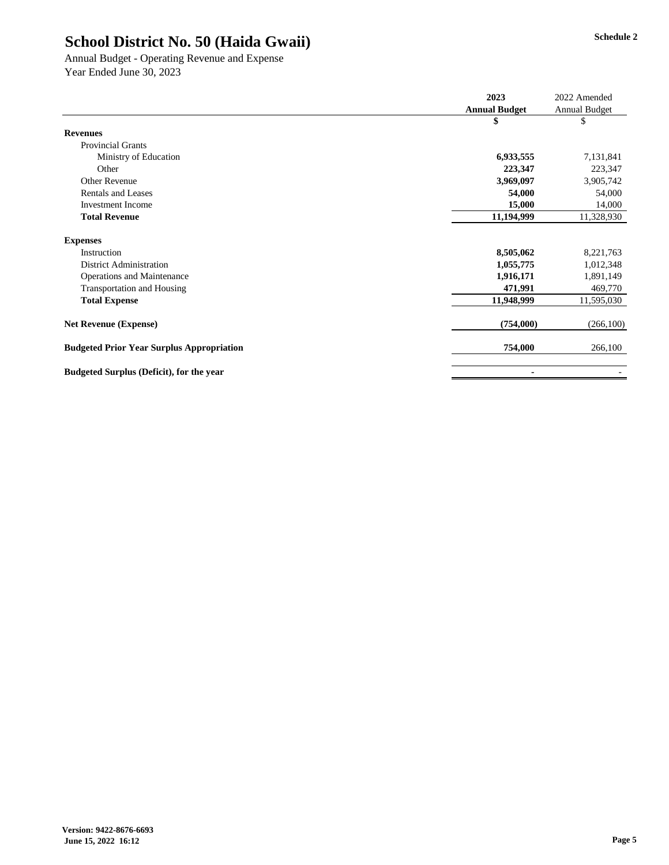Annual Budget - Operating Revenue and Expense Year Ended June 30, 2023

|                                                  | 2023                 | 2022 Amended  |
|--------------------------------------------------|----------------------|---------------|
|                                                  | <b>Annual Budget</b> | Annual Budget |
|                                                  | ъ                    | \$            |
| <b>Revenues</b>                                  |                      |               |
| <b>Provincial Grants</b>                         |                      |               |
| Ministry of Education                            | 6,933,555            | 7,131,841     |
| Other                                            | 223,347              | 223,347       |
| <b>Other Revenue</b>                             | 3,969,097            | 3,905,742     |
| <b>Rentals and Leases</b>                        | 54,000               | 54,000        |
| <b>Investment Income</b>                         | 15,000               | 14,000        |
| <b>Total Revenue</b>                             | 11,194,999           | 11,328,930    |
| <b>Expenses</b>                                  |                      |               |
| Instruction                                      | 8,505,062            | 8,221,763     |
| <b>District Administration</b>                   | 1,055,775            | 1,012,348     |
| Operations and Maintenance                       | 1,916,171            | 1,891,149     |
| <b>Transportation and Housing</b>                | 471,991              | 469,770       |
| <b>Total Expense</b>                             | 11,948,999           | 11,595,030    |
| <b>Net Revenue (Expense)</b>                     | (754,000)            | (266, 100)    |
| <b>Budgeted Prior Year Surplus Appropriation</b> | 754,000              | 266,100       |
| Budgeted Surplus (Deficit), for the year         |                      |               |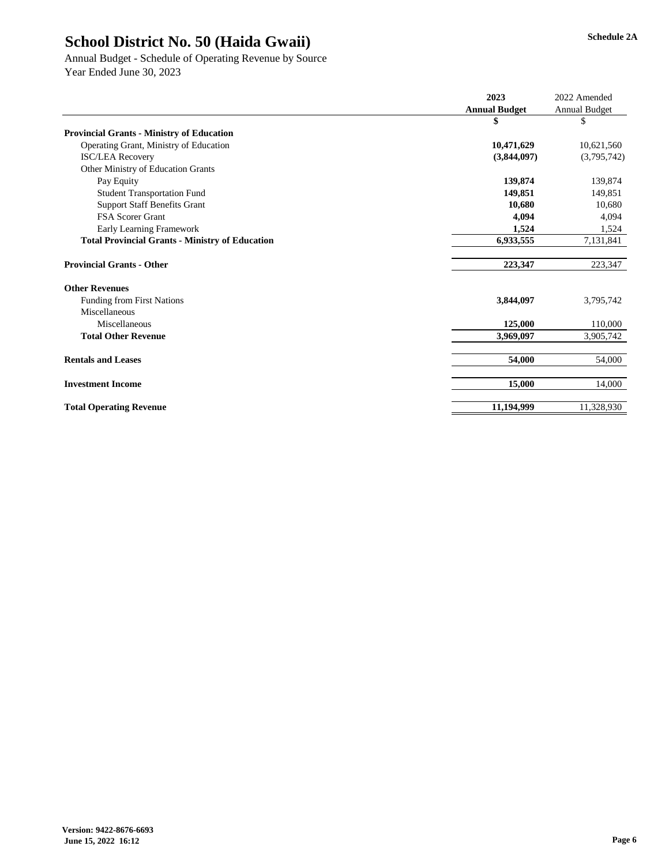#### Annual Budget - Schedule of Operating Revenue by Source Year Ended June 30, 2023

|                                                        | 2023                 | 2022 Amended         |
|--------------------------------------------------------|----------------------|----------------------|
|                                                        | <b>Annual Budget</b> | <b>Annual Budget</b> |
|                                                        | \$                   | \$                   |
| <b>Provincial Grants - Ministry of Education</b>       |                      |                      |
| Operating Grant, Ministry of Education                 | 10,471,629           | 10,621,560           |
| <b>ISC/LEA Recovery</b>                                | (3,844,097)          | (3,795,742)          |
| Other Ministry of Education Grants                     |                      |                      |
| Pay Equity                                             | 139,874              | 139,874              |
| <b>Student Transportation Fund</b>                     | 149,851              | 149,851              |
| <b>Support Staff Benefits Grant</b>                    | 10,680               | 10,680               |
| <b>FSA Scorer Grant</b>                                | 4,094                | 4,094                |
| Early Learning Framework                               | 1,524                | 1,524                |
| <b>Total Provincial Grants - Ministry of Education</b> | 6,933,555            | 7,131,841            |
| <b>Provincial Grants - Other</b>                       | 223,347              | 223,347              |
| <b>Other Revenues</b>                                  |                      |                      |
| <b>Funding from First Nations</b>                      | 3,844,097            | 3,795,742            |
| Miscellaneous                                          |                      |                      |
| Miscellaneous                                          | 125,000              | 110,000              |
| <b>Total Other Revenue</b>                             | 3,969,097            | 3,905,742            |
| <b>Rentals and Leases</b>                              | 54,000               | 54,000               |
| <b>Investment Income</b>                               | 15,000               | 14,000               |
| <b>Total Operating Revenue</b>                         | 11,194,999           | 11,328,930           |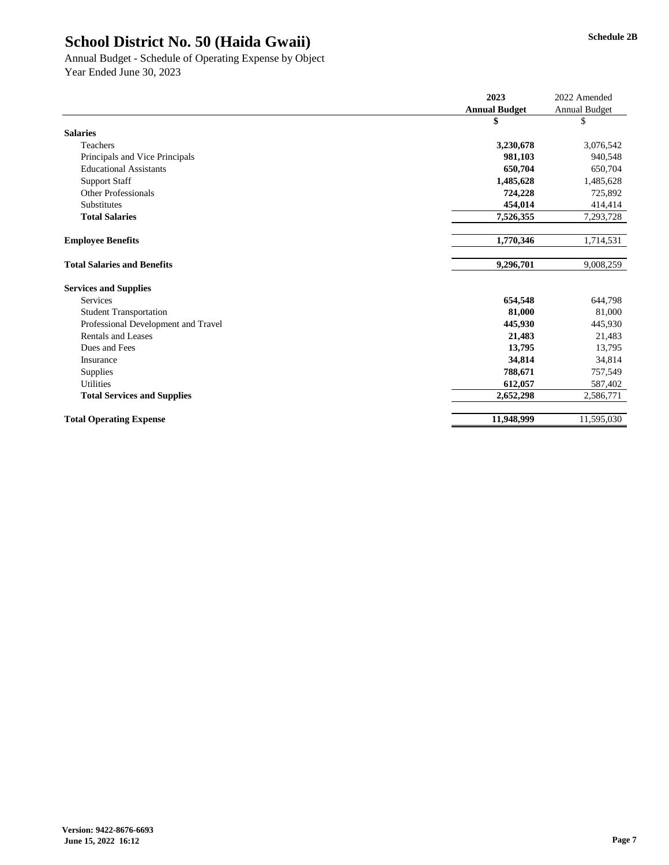#### Annual Budget - Schedule of Operating Expense by Object Year Ended June 30, 2023

|                                     | 2023                 | 2022 Amended         |
|-------------------------------------|----------------------|----------------------|
|                                     | <b>Annual Budget</b> | <b>Annual Budget</b> |
|                                     | \$                   | \$                   |
| <b>Salaries</b>                     |                      |                      |
| Teachers                            | 3,230,678            | 3,076,542            |
| Principals and Vice Principals      | 981,103              | 940,548              |
| <b>Educational Assistants</b>       | 650,704              | 650,704              |
| <b>Support Staff</b>                | 1,485,628            | 1,485,628            |
| Other Professionals                 | 724,228              | 725,892              |
| <b>Substitutes</b>                  | 454,014              | 414,414              |
| <b>Total Salaries</b>               | 7,526,355            | 7,293,728            |
| <b>Employee Benefits</b>            | 1,770,346            | 1,714,531            |
| <b>Total Salaries and Benefits</b>  | 9,296,701            | 9,008,259            |
| <b>Services and Supplies</b>        |                      |                      |
| Services                            | 654,548              | 644,798              |
| <b>Student Transportation</b>       | 81,000               | 81,000               |
| Professional Development and Travel | 445,930              | 445,930              |
| <b>Rentals and Leases</b>           | 21,483               | 21,483               |
| Dues and Fees                       | 13,795               | 13,795               |
| Insurance                           | 34,814               | 34,814               |
| <b>Supplies</b>                     | 788,671              | 757,549              |
| <b>Utilities</b>                    | 612,057              | 587,402              |
| <b>Total Services and Supplies</b>  | 2,652,298            | 2,586,771            |
| <b>Total Operating Expense</b>      | 11,948,999           | 11,595,030           |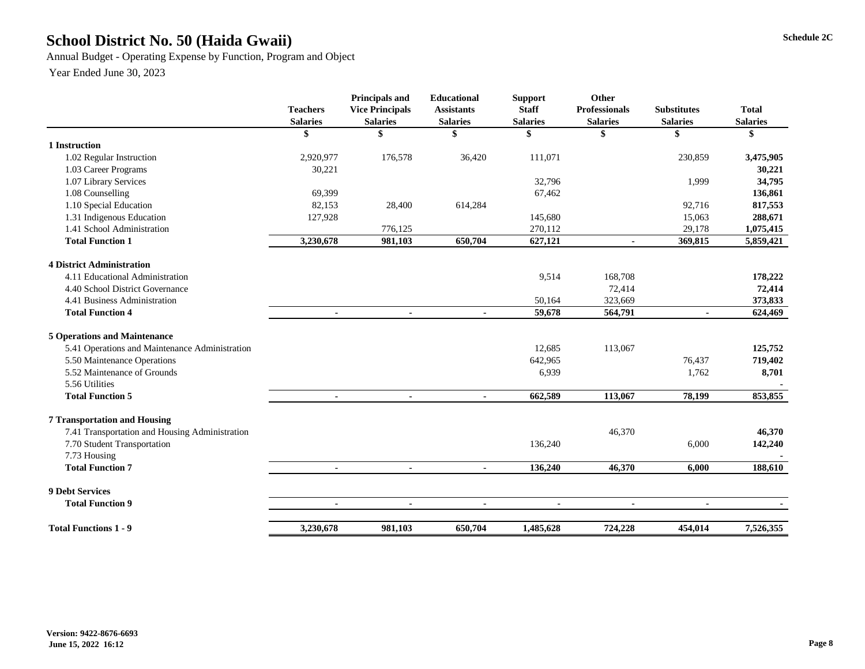### **Schedule 2C School District No. 50 (Haida Gwaii)**

Annual Budget - Operating Expense by Function, Program and Object

|                                                | <b>Teachers</b><br><b>Salaries</b> | Principals and<br><b>Vice Principals</b><br><b>Salaries</b> | <b>Educational</b><br><b>Assistants</b><br><b>Salaries</b> | <b>Support</b><br><b>Staff</b><br><b>Salaries</b> | Other<br><b>Professionals</b><br><b>Salaries</b> | <b>Substitutes</b><br><b>Salaries</b> | <b>Total</b><br><b>Salaries</b> |
|------------------------------------------------|------------------------------------|-------------------------------------------------------------|------------------------------------------------------------|---------------------------------------------------|--------------------------------------------------|---------------------------------------|---------------------------------|
|                                                | \$                                 | \$                                                          | \$                                                         | \$                                                | \$                                               | \$                                    | \$                              |
| 1 Instruction                                  |                                    |                                                             |                                                            |                                                   |                                                  |                                       |                                 |
| 1.02 Regular Instruction                       | 2,920,977                          | 176,578                                                     | 36,420                                                     | 111,071                                           |                                                  | 230,859                               | 3,475,905                       |
| 1.03 Career Programs                           | 30,221                             |                                                             |                                                            |                                                   |                                                  |                                       | 30,221                          |
| 1.07 Library Services                          |                                    |                                                             |                                                            | 32,796                                            |                                                  | 1,999                                 | 34,795                          |
| 1.08 Counselling                               | 69,399                             |                                                             |                                                            | 67,462                                            |                                                  |                                       | 136,861                         |
| 1.10 Special Education                         | 82,153                             | 28,400                                                      | 614,284                                                    |                                                   |                                                  | 92,716                                | 817,553                         |
| 1.31 Indigenous Education                      | 127,928                            |                                                             |                                                            | 145,680                                           |                                                  | 15,063                                | 288,671                         |
| 1.41 School Administration                     |                                    | 776,125                                                     |                                                            | 270,112                                           |                                                  | 29,178                                | 1,075,415                       |
| <b>Total Function 1</b>                        | 3,230,678                          | 981,103                                                     | 650,704                                                    | 627,121                                           |                                                  | 369,815                               | 5,859,421                       |
| <b>4 District Administration</b>               |                                    |                                                             |                                                            |                                                   |                                                  |                                       |                                 |
| 4.11 Educational Administration                |                                    |                                                             |                                                            | 9,514                                             | 168,708                                          |                                       | 178,222                         |
| 4.40 School District Governance                |                                    |                                                             |                                                            |                                                   | 72,414                                           |                                       | 72,414                          |
| 4.41 Business Administration                   |                                    |                                                             |                                                            | 50,164                                            | 323,669                                          |                                       | 373,833                         |
| <b>Total Function 4</b>                        | $\blacksquare$                     | $\blacksquare$                                              | $\sim$                                                     | 59,678                                            | 564,791                                          | $\blacksquare$                        | 624,469                         |
| <b>5 Operations and Maintenance</b>            |                                    |                                                             |                                                            |                                                   |                                                  |                                       |                                 |
| 5.41 Operations and Maintenance Administration |                                    |                                                             |                                                            | 12,685                                            | 113,067                                          |                                       | 125,752                         |
| 5.50 Maintenance Operations                    |                                    |                                                             |                                                            | 642,965                                           |                                                  | 76,437                                | 719,402                         |
| 5.52 Maintenance of Grounds                    |                                    |                                                             |                                                            | 6,939                                             |                                                  | 1,762                                 | 8,701                           |
| 5.56 Utilities                                 |                                    |                                                             |                                                            |                                                   |                                                  |                                       |                                 |
| <b>Total Function 5</b>                        | $\blacksquare$                     | $\blacksquare$                                              | $\blacksquare$                                             | 662,589                                           | 113,067                                          | 78,199                                | 853,855                         |
| <b>7 Transportation and Housing</b>            |                                    |                                                             |                                                            |                                                   |                                                  |                                       |                                 |
| 7.41 Transportation and Housing Administration |                                    |                                                             |                                                            |                                                   | 46,370                                           |                                       | 46,370                          |
| 7.70 Student Transportation                    |                                    |                                                             |                                                            | 136,240                                           |                                                  | 6,000                                 | 142,240                         |
| 7.73 Housing                                   |                                    |                                                             |                                                            |                                                   |                                                  |                                       |                                 |
| <b>Total Function 7</b>                        | $\blacksquare$                     | $\blacksquare$                                              | $\blacksquare$                                             | 136,240                                           | 46,370                                           | 6,000                                 | 188,610                         |
| <b>9 Debt Services</b>                         |                                    |                                                             |                                                            |                                                   |                                                  |                                       |                                 |
| <b>Total Function 9</b>                        | $\blacksquare$                     | $\blacksquare$                                              | $\blacksquare$                                             | $\blacksquare$                                    | $\blacksquare$                                   | $\blacksquare$                        |                                 |
| <b>Total Functions 1 - 9</b>                   | 3,230,678                          | 981,103                                                     | 650,704                                                    | 1,485,628                                         | 724,228                                          | 454,014                               | 7,526,355                       |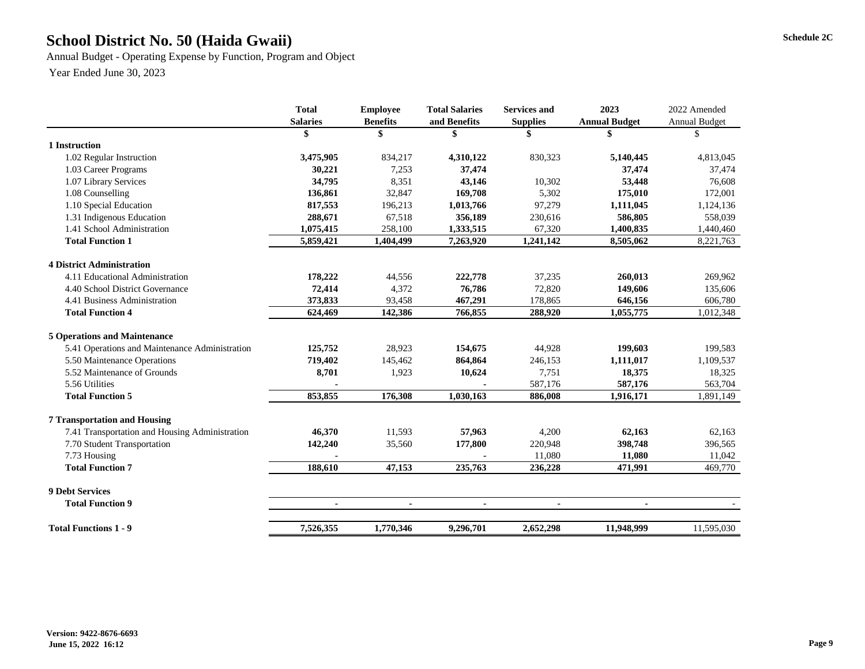### **Schedule 2C School District No. 50 (Haida Gwaii)**

Annual Budget - Operating Expense by Function, Program and Object

|                                                | <b>Total</b>    | <b>Employee</b> | <b>Total Salaries</b> | <b>Services and</b> | 2023                 | 2022 Amended         |
|------------------------------------------------|-----------------|-----------------|-----------------------|---------------------|----------------------|----------------------|
|                                                | <b>Salaries</b> | <b>Benefits</b> | and Benefits          | <b>Supplies</b>     | <b>Annual Budget</b> | <b>Annual Budget</b> |
|                                                |                 |                 |                       |                     |                      | \$.                  |
| 1 Instruction                                  |                 |                 |                       |                     |                      |                      |
| 1.02 Regular Instruction                       | 3,475,905       | 834,217         | 4,310,122             | 830,323             | 5,140,445            | 4,813,045            |
| 1.03 Career Programs                           | 30,221          | 7,253           | 37,474                |                     | 37,474               | 37,474               |
| 1.07 Library Services                          | 34,795          | 8,351           | 43,146                | 10,302              | 53,448               | 76,608               |
| 1.08 Counselling                               | 136,861         | 32,847          | 169,708               | 5,302               | 175,010              | 172,001              |
| 1.10 Special Education                         | 817,553         | 196,213         | 1,013,766             | 97,279              | 1,111,045            | 1,124,136            |
| 1.31 Indigenous Education                      | 288,671         | 67,518          | 356,189               | 230,616             | 586,805              | 558,039              |
| 1.41 School Administration                     | 1,075,415       | 258,100         | 1,333,515             | 67,320              | 1,400,835            | 1,440,460            |
| <b>Total Function 1</b>                        | 5,859,421       | 1,404,499       | 7,263,920             | 1,241,142           | 8,505,062            | 8,221,763            |
| <b>4 District Administration</b>               |                 |                 |                       |                     |                      |                      |
| 4.11 Educational Administration                | 178,222         | 44,556          | 222,778               | 37,235              | 260,013              | 269,962              |
| 4.40 School District Governance                | 72,414          | 4,372           | 76,786                | 72,820              | 149,606              | 135,606              |
| 4.41 Business Administration                   | 373,833         | 93,458          | 467,291               | 178,865             | 646,156              | 606,780              |
| <b>Total Function 4</b>                        | 624,469         | 142,386         | 766,855               | 288,920             | 1,055,775            | 1,012,348            |
| <b>5 Operations and Maintenance</b>            |                 |                 |                       |                     |                      |                      |
| 5.41 Operations and Maintenance Administration | 125,752         | 28,923          | 154,675               | 44,928              | 199,603              | 199,583              |
| 5.50 Maintenance Operations                    | 719,402         | 145,462         | 864,864               | 246,153             | 1,111,017            | 1,109,537            |
| 5.52 Maintenance of Grounds                    | 8,701           | 1,923           | 10,624                | 7,751               | 18,375               | 18,325               |
| 5.56 Utilities                                 |                 |                 |                       | 587,176             | 587,176              | 563,704              |
| <b>Total Function 5</b>                        | 853,855         | 176,308         | 1,030,163             | 886,008             | 1,916,171            | 1,891,149            |
| <b>7 Transportation and Housing</b>            |                 |                 |                       |                     |                      |                      |
| 7.41 Transportation and Housing Administration | 46,370          | 11,593          | 57,963                | 4,200               | 62,163               | 62,163               |
| 7.70 Student Transportation                    | 142,240         | 35,560          | 177,800               | 220,948             | 398,748              | 396,565              |
| 7.73 Housing                                   |                 |                 |                       | 11,080              | 11,080               | 11,042               |
| <b>Total Function 7</b>                        | 188,610         | 47,153          | 235,763               | 236,228             | 471,991              | 469,770              |
| <b>9 Debt Services</b>                         |                 |                 |                       |                     |                      |                      |
| <b>Total Function 9</b>                        | $\blacksquare$  | $\blacksquare$  | $\blacksquare$        | $\blacksquare$      | $\blacksquare$       |                      |
| <b>Total Functions 1 - 9</b>                   | 7,526,355       | 1,770,346       | 9,296,701             | 2,652,298           | 11,948,999           | 11,595,030           |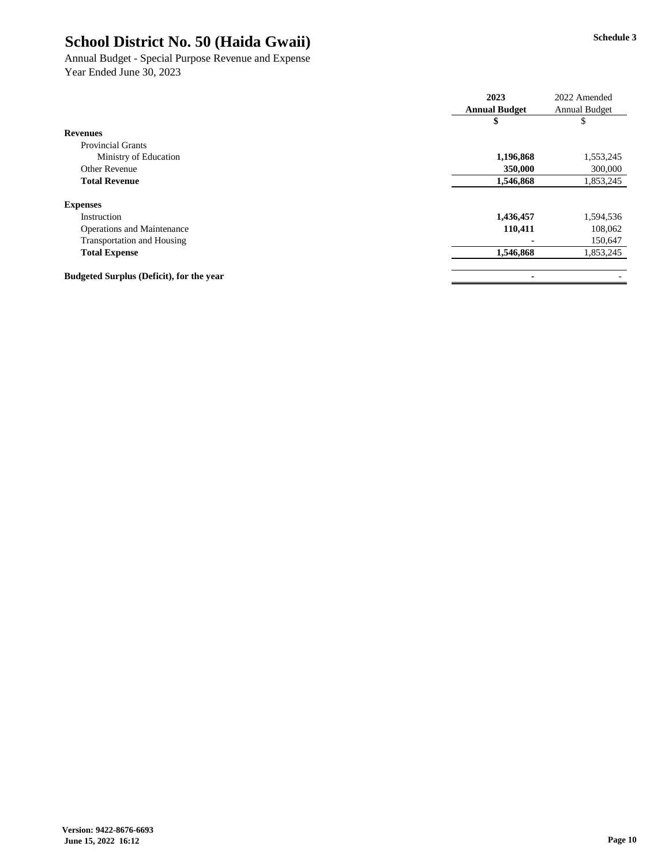#### Annual Budget - Special Purpose Revenue and Expense Year Ended June 30, 2023

|                                                 | 2023                 | 2022 Amended  |
|-------------------------------------------------|----------------------|---------------|
|                                                 | <b>Annual Budget</b> | Annual Budget |
|                                                 | \$                   | \$            |
| <b>Revenues</b>                                 |                      |               |
| <b>Provincial Grants</b>                        |                      |               |
| Ministry of Education                           | 1,196,868            | 1,553,245     |
| Other Revenue                                   | 350,000              | 300,000       |
| <b>Total Revenue</b>                            | 1,546,868            | 1,853,245     |
| <b>Expenses</b>                                 |                      |               |
| Instruction                                     | 1,436,457            | 1,594,536     |
| Operations and Maintenance                      | 110,411              | 108,062       |
| <b>Transportation and Housing</b>               |                      | 150,647       |
| <b>Total Expense</b>                            | 1,546,868            | 1,853,245     |
|                                                 |                      |               |
| <b>Budgeted Surplus (Deficit), for the year</b> | ٠                    |               |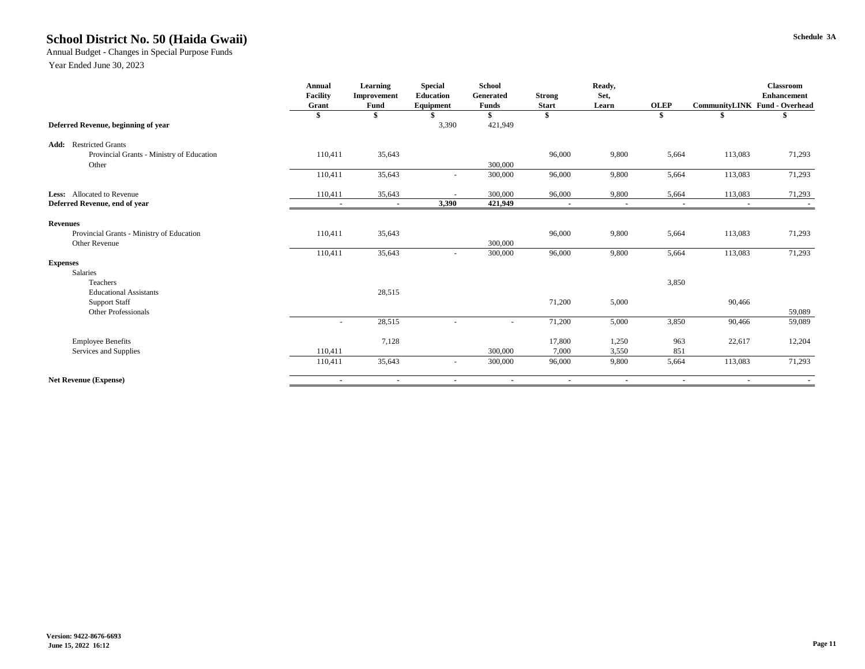#### **Schedule 3A School District No. 50 (Haida Gwaii)**

Annual Budget - Changes in Special Purpose Funds

|                                           | Annual          | Learning       | <b>Special</b>   | <b>School</b>  |                | Ready,                   |                          |                | <b>Classroom</b>              |
|-------------------------------------------|-----------------|----------------|------------------|----------------|----------------|--------------------------|--------------------------|----------------|-------------------------------|
|                                           | <b>Facility</b> | Improvement    | Education        | Generated      | <b>Strong</b>  | Set.                     |                          |                | <b>Enhancement</b>            |
|                                           | Grant           | Fund           | <b>Equipment</b> | <b>Funds</b>   | <b>Start</b>   | Learn                    | <b>OLEP</b>              |                | CommunityLINK Fund - Overhead |
|                                           | \$              |                |                  | S              | -\$            |                          | \$                       |                |                               |
| Deferred Revenue, beginning of year       |                 |                | 3,390            | 421,949        |                |                          |                          |                |                               |
| <b>Restricted Grants</b><br>Add:          |                 |                |                  |                |                |                          |                          |                |                               |
| Provincial Grants - Ministry of Education | 110,411         | 35,643         |                  |                | 96,000         | 9,800                    | 5,664                    | 113,083        | 71,293                        |
| Other                                     |                 |                |                  | 300,000        |                |                          |                          |                |                               |
|                                           | 110,411         | 35,643         |                  | 300,000        | 96,000         | 9,800                    | 5,664                    | 113,083        | 71,293                        |
| Less: Allocated to Revenue                | 110,411         | 35,643         |                  | 300,000        | 96,000         | 9,800                    | 5,664                    | 113,083        | 71,293                        |
| Deferred Revenue, end of year             | $\sim$          | $\blacksquare$ | 3,390            | 421,949        | $\blacksquare$ | $\overline{\phantom{a}}$ | $\overline{\phantom{a}}$ | $\blacksquare$ |                               |
|                                           |                 |                |                  |                |                |                          |                          |                |                               |
| <b>Revenues</b>                           |                 |                |                  |                |                |                          |                          |                |                               |
| Provincial Grants - Ministry of Education | 110,411         | 35,643         |                  |                | 96,000         | 9,800                    | 5,664                    | 113,083        | 71,293                        |
| Other Revenue                             |                 |                |                  | 300,000        |                |                          |                          |                |                               |
|                                           | 110,411         | 35,643         | $\sim$           | 300,000        | 96,000         | 9,800                    | 5,664                    | 113,083        | 71,293                        |
| <b>Expenses</b>                           |                 |                |                  |                |                |                          |                          |                |                               |
| Salaries                                  |                 |                |                  |                |                |                          |                          |                |                               |
| Teachers                                  |                 |                |                  |                |                |                          | 3,850                    |                |                               |
| <b>Educational Assistants</b>             |                 | 28,515         |                  |                |                |                          |                          |                |                               |
| <b>Support Staff</b>                      |                 |                |                  |                | 71,200         | 5,000                    |                          | 90,466         |                               |
| Other Professionals                       |                 |                |                  |                |                |                          |                          |                | 59,089                        |
|                                           | ٠               | 28,515         |                  |                | 71,200         | 5,000                    | 3,850                    | 90,466         | 59,089                        |
| <b>Employee Benefits</b>                  |                 | 7,128          |                  |                | 17,800         | 1,250                    | 963                      | 22,617         | 12,204                        |
| Services and Supplies                     | 110,411         |                |                  | 300,000        | 7,000          | 3,550                    | 851                      |                |                               |
|                                           | 110,411         | 35,643         | $\sim$           | 300,000        | 96,000         | 9,800                    | 5,664                    | 113,083        | 71,293                        |
| <b>Net Revenue (Expense)</b>              | $\blacksquare$  | $\blacksquare$ |                  | $\blacksquare$ | $\blacksquare$ | $\overline{\phantom{a}}$ | $\blacksquare$           | $\blacksquare$ | $\sim$                        |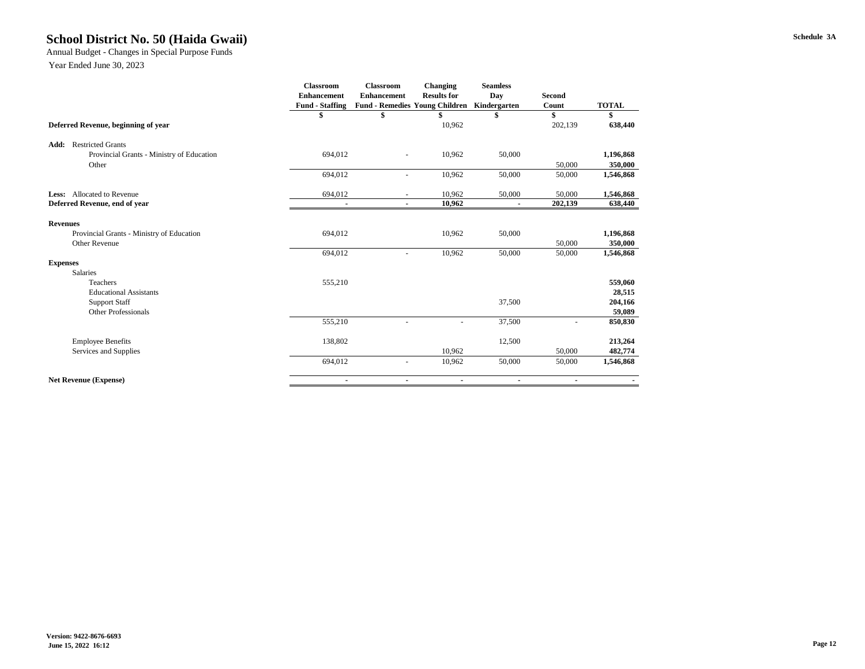#### **Schedule 3A School District No. 50 (Haida Gwaii)**

Annual Budget - Changes in Special Purpose Funds

|                                           | Classroom              | <b>Classroom</b>                      | Changing           | <b>Seamless</b> |                |              |
|-------------------------------------------|------------------------|---------------------------------------|--------------------|-----------------|----------------|--------------|
|                                           | <b>Enhancement</b>     | <b>Enhancement</b>                    | <b>Results for</b> | Day             | <b>Second</b>  |              |
|                                           | <b>Fund - Staffing</b> | <b>Fund - Remedies Young Children</b> |                    | Kindergarten    | Count          | <b>TOTAL</b> |
|                                           | \$                     | \$                                    |                    | \$              | \$             | \$           |
| Deferred Revenue, beginning of year       |                        |                                       | 10,962             |                 | 202,139        | 638,440      |
| <b>Restricted Grants</b><br>Add:          |                        |                                       |                    |                 |                |              |
| Provincial Grants - Ministry of Education | 694,012                | $\sim$                                | 10,962             | 50,000          |                | 1,196,868    |
| Other                                     |                        |                                       |                    |                 | 50,000         | 350,000      |
|                                           | 694,012                | $\overline{a}$                        | 10,962             | 50,000          | 50,000         | 1,546,868    |
| <b>Less:</b> Allocated to Revenue         | 694,012                | $\sim$                                | 10,962             | 50,000          | 50,000         | 1,546,868    |
| Deferred Revenue, end of year             | ٠                      | $\blacksquare$                        | 10,962             | ٠               | 202,139        | 638,440      |
| <b>Revenues</b>                           |                        |                                       |                    |                 |                |              |
| Provincial Grants - Ministry of Education | 694,012                |                                       | 10,962             | 50,000          |                | 1,196,868    |
| Other Revenue                             |                        |                                       |                    |                 | 50,000         | 350,000      |
|                                           | 694,012                |                                       | 10,962             | 50,000          | 50,000         | 1,546,868    |
| <b>Expenses</b>                           |                        |                                       |                    |                 |                |              |
| <b>Salaries</b>                           |                        |                                       |                    |                 |                |              |
| Teachers                                  | 555,210                |                                       |                    |                 |                | 559,060      |
| <b>Educational Assistants</b>             |                        |                                       |                    |                 |                | 28,515       |
| <b>Support Staff</b>                      |                        |                                       |                    | 37,500          |                | 204,166      |
| <b>Other Professionals</b>                |                        |                                       |                    |                 |                | 59,089       |
|                                           | 555,210                |                                       |                    | 37,500          |                | 850,830      |
| <b>Employee Benefits</b>                  | 138,802                |                                       |                    | 12,500          |                | 213,264      |
| Services and Supplies                     |                        |                                       | 10,962             |                 | 50,000         | 482,774      |
|                                           | 694,012                | ٠                                     | 10,962             | 50,000          | 50,000         | 1,546,868    |
| <b>Net Revenue (Expense)</b>              | $\blacksquare$         | ٠                                     | $\blacksquare$     | ٠               | $\blacksquare$ |              |